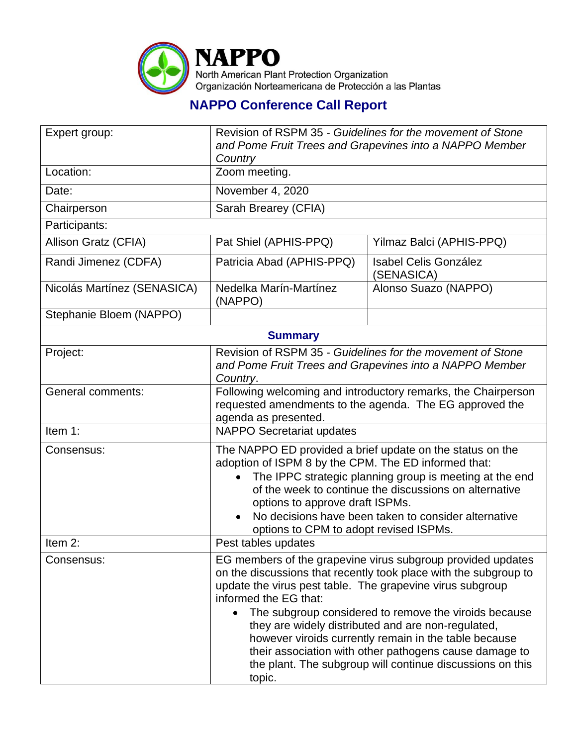

## **NAPPO Conference Call Report**

| Expert group:               | Revision of RSPM 35 - Guidelines for the movement of Stone<br>and Pome Fruit Trees and Grapevines into a NAPPO Member<br>Country                                                                                                                                                                                                                                                                                                                                                                                               |                                     |  |  |
|-----------------------------|--------------------------------------------------------------------------------------------------------------------------------------------------------------------------------------------------------------------------------------------------------------------------------------------------------------------------------------------------------------------------------------------------------------------------------------------------------------------------------------------------------------------------------|-------------------------------------|--|--|
| Location:                   | Zoom meeting.                                                                                                                                                                                                                                                                                                                                                                                                                                                                                                                  |                                     |  |  |
| Date:                       | November 4, 2020                                                                                                                                                                                                                                                                                                                                                                                                                                                                                                               |                                     |  |  |
| Chairperson                 | Sarah Brearey (CFIA)                                                                                                                                                                                                                                                                                                                                                                                                                                                                                                           |                                     |  |  |
| Participants:               |                                                                                                                                                                                                                                                                                                                                                                                                                                                                                                                                |                                     |  |  |
| Allison Gratz (CFIA)        | Pat Shiel (APHIS-PPQ)                                                                                                                                                                                                                                                                                                                                                                                                                                                                                                          | Yilmaz Balci (APHIS-PPQ)            |  |  |
| Randi Jimenez (CDFA)        | Patricia Abad (APHIS-PPQ)                                                                                                                                                                                                                                                                                                                                                                                                                                                                                                      | Isabel Celis González<br>(SENASICA) |  |  |
| Nicolás Martínez (SENASICA) | Nedelka Marín-Martínez<br>(NAPPO)                                                                                                                                                                                                                                                                                                                                                                                                                                                                                              | Alonso Suazo (NAPPO)                |  |  |
| Stephanie Bloem (NAPPO)     |                                                                                                                                                                                                                                                                                                                                                                                                                                                                                                                                |                                     |  |  |
| <b>Summary</b>              |                                                                                                                                                                                                                                                                                                                                                                                                                                                                                                                                |                                     |  |  |
| Project:                    | Revision of RSPM 35 - Guidelines for the movement of Stone<br>and Pome Fruit Trees and Grapevines into a NAPPO Member<br>Country.                                                                                                                                                                                                                                                                                                                                                                                              |                                     |  |  |
| <b>General comments:</b>    | Following welcoming and introductory remarks, the Chairperson<br>requested amendments to the agenda. The EG approved the<br>agenda as presented.                                                                                                                                                                                                                                                                                                                                                                               |                                     |  |  |
| Item 1:                     | <b>NAPPO Secretariat updates</b>                                                                                                                                                                                                                                                                                                                                                                                                                                                                                               |                                     |  |  |
| Consensus:                  | The NAPPO ED provided a brief update on the status on the<br>adoption of ISPM 8 by the CPM. The ED informed that:<br>The IPPC strategic planning group is meeting at the end<br>of the week to continue the discussions on alternative<br>options to approve draft ISPMs.<br>No decisions have been taken to consider alternative<br>options to CPM to adopt revised ISPMs.                                                                                                                                                    |                                     |  |  |
| Item 2:                     | Pest tables updates                                                                                                                                                                                                                                                                                                                                                                                                                                                                                                            |                                     |  |  |
| Consensus:                  | EG members of the grapevine virus subgroup provided updates<br>on the discussions that recently took place with the subgroup to<br>update the virus pest table. The grapevine virus subgroup<br>informed the EG that:<br>The subgroup considered to remove the viroids because<br>they are widely distributed and are non-regulated,<br>however viroids currently remain in the table because<br>their association with other pathogens cause damage to<br>the plant. The subgroup will continue discussions on this<br>topic. |                                     |  |  |